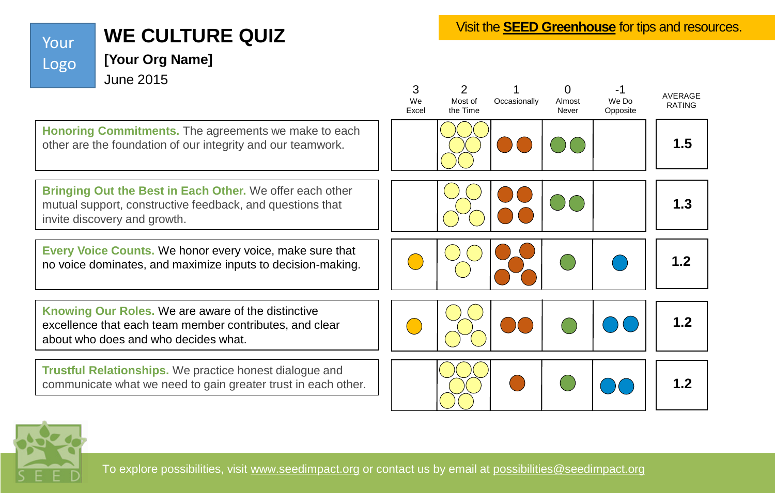## **WE CULTURE QUIZ**

**[Your Org Name]** 

Your

Logo

Visit the **[SEED Greenhouse](http://www.seedimpact.org/seedgreenhouse)** for tips and resources.



To explore possibilities, visit [www.seedimpact.org](http://www.seedimpact.org/) or contact us by email at [possibilities@seedimpact.org](mailto:possibilities@seedimpact.org)